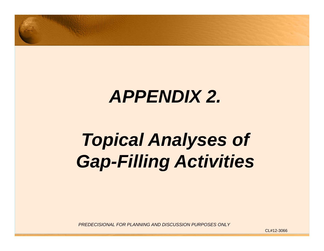

# **APPENDIX 2.**

# **Topical Analyses of Gap-Filling Activities**

PREDECISIONAL FOR PLANNING AND DISCUSSION PURPOSES ONLY

CL#12-3066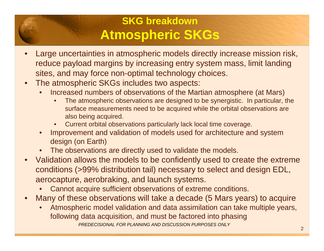## **SKG breakdownAtmospheric SKGs**

- • Large uncertainties in atmospheric models directly increase mission risk, reduce payload margins by increasing entry system mass, limit landing sites, and may force non-optimal technology choices.
- • The atmospheric SKGs includes two aspects:
	- • Increased numbers of observations of the Martian atmosphere (at Mars)
		- The atmospheric observations are designed to be synergistic. In particular, the •surface measurements need to be acquired while the orbital observations are also being acquired.
		- Current orbital observations particularly lack local time coverage. •
	- • Improvement and validation of models used for architecture and system design (on Earth)
	- The observations are directly used to validate the models.
- • Validation allows the models to be confidently used to create the extreme conditions (>99% distribution tail) necessary to select and design EDL, aerocapture, aerobraking, and launch systems.
	- Cannot acquire sufficient observations of extreme conditions. •
- • Many of these observations will take a decade (5 Mars years) to acquire
	- PREDECISIONAL FOR PLANNING AND DISCUSSION PURPOSES ONLY Atmospheric model validation and data assimilation can take multiple years, •following data acquisition, and must be factored into phasing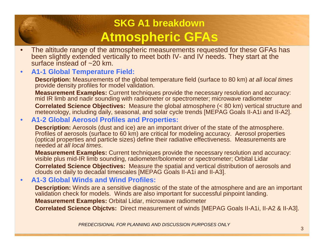## **SKG A1 breakdownAtmospheric GFAs**

 The altitude range of the atmospheric measurements requested for these GFAs has •been slightly extended vertically to meet both IV- and IV needs. They start at the surface instead of ~20 km.

#### •**A1-1 Global Temperature Field:**

**Description:** Measurements of the global temperature field (surface to 80 km) at all local times provide density profiles for model validation.

**Measurement Examples:** Current techniques provide the necessary resolution and accuracy: mid IR limb and nadir sounding with radiometer or spectrometer; microwave radiometer

 **Correlated Science Objectives:** Measure the global atmosphere (< 80 km) vertical structure and meteorology, including daily, seasonal, and solar cycle trends [MEPAG Goals II-A1i and II-A2].

#### •**A1-2 Global Aerosol Profiles and Properties:**

**Description:** Aerosols (dust and ice) are an important driver of the state of the atmosphere. Profiles of aerosols (surface to 60 km) are critical for modeling accuracy. Aerosol properties (optical properties and particle sizes) define their radiative effectiveness. Measurements are needed at all local times.

**Measurement Examples:** Current techniques provide the necessary resolution and accuracy: visible plus mid-IR limb sounding, radiometer/bolometer or spectrometer; Orbital Lidar

 **Correlated Science Objectives:** Measure the spatial and vertical distribution of aerosols and clouds on daily to decadal timescales [MEPAG Goals II-A1i and II-A3].

#### •**A1-3 Global Winds and Wind Profiles:**

**Description:** Winds are a sensitive diagnostic of the state of the atmosphere and are an important validation check for models. Winds are also important for successful pinpoint landing.

**Measurement Examples:** Orbital Lidar, microwave radiometer

**Correlated Science Objctvs:** Direct measurement of winds [MEPAG Goals II-A1i, II-A2 & II-A3].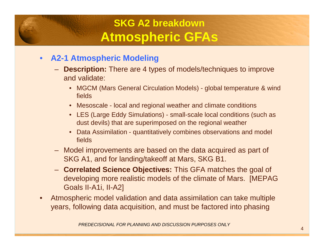## **SKG A2 breakdownAtmospheric GFAs**

### • **A2-1 Atmospheric Modeling**

- **Description:** There are 4 types of models/techniques to improve and validate:
	- MGCM (Mars General Circulation Models) global temperature & wind fields
	- Mesoscale local and regional weather and climate conditions
	- LES (Large Eddy Simulations) small-scale local conditions (such as dust devils) that are superimposed on the regional weather
	- Data Assimilation quantitatively combines observations and model fields
- Model improvements are based on the data acquired as part of SKG A1, and for landing/takeoff at Mars, SKG B1.
- **Correlated Science Objectives:** This GFA matches the goal of developing more realistic models of the climate of Mars. [MEPAG Goals II-A1i, II-A2]
- • Atmospheric model validation and data assimilation can take multiple years, following data acquisition, and must be factored into phasing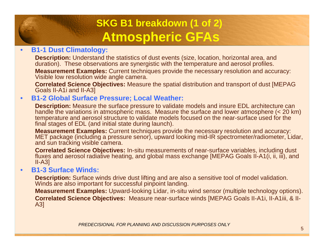## **SKG B1 breakdown (1 of 2)Atmospheric GFAs**

#### •**B1-1 Dust Climatology:**

**Description:** Understand the statistics of dust events (size, location, horizontal area, and duration). These observations are synergistic with the temperature and aerosol profiles.

**Measurement Examples:** Current techniques provide the necessary resolution and accuracy: Visible low resolution wide angle camera.

 **Correlated Science Objectives:** Measure the spatial distribution and transport of dust [MEPAG Goals II-A1i and II-A3]

#### •**B1-2 Global Surface Pressure; Local Weather:**

**Description:** Measure the surface pressure to validate models and insure EDL architecture can handle the variations in atmospheric mass. Measure the surface and lower atmosphere (< 20 km) temperature and aerosol structure to validate models focused on the near-surface used for the final stages of EDL (and initial state during launch).

**Measurement Examples:** Current techniques provide the necessary resolution and accuracy: MET package (including a pressure senor), upward looking mid-IR spectrometer/radiometer, Lidar, and sun tracking visible camera.

**Correlated Science Objectives:** In-situ measurements of near-surface variables, including dust fluxes and aerosol radiative heating, and global mass exchange [MEPAG Goals II-A1(i, ii, iii), and II-A3]

#### •**B1-3 Surface Winds:**

**Description:** Surface winds drive dust lifting and are also a sensitive tool of model validation. Winds are also important for successful pinpoint landing.

 **Measurement Examples:** Upward-looking Lidar, in-situ wind sensor (multiple technology options).**Correlated Science Objectives:** Measure near-surface winds [MEPAG Goals II-A1i, II-A1iii, & II-A3]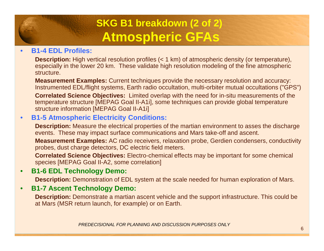## **SKG B1 breakdown (2 of 2)Atmospheric GFAs**

#### •**B1-4 EDL Profiles:**

**Description:** High vertical resolution profiles (< 1 km) of atmospheric density (or temperature), especially in the lower 20 km. These validate high resolution modeling of the fine atmospheric structure.

**Measurement Examples:** Current techniques provide the necessary resolution and accuracy: Instrumented EDL/flight systems, Earth radio occultation, multi-orbiter mutual occultations ("GPS")

**Correlated Science Objectives:** Limited overlap with the need for in-situ measurements of the temperature structure [MEPAG Goal II-A1i], some techniques can provide global temperature structure information [MEPAG Goal II-A1i]

#### •**B1-5 Atmospheric Electricity Conditions:**

**Description:** Measure the electrical properties of the martian environment to asses the discharge events. These may impact surface communications and Mars take-off and ascent.

**Measurement Examples:** AC radio receivers, relaxation probe, Gerdien condensers, conductivity probes, dust charge detectors, DC electric field meters.

**Correlated Science Objectives:** Electro-chemical effects may be important for some chemical species [MEPAG Goal II-A2, some correlation]

#### •**B1-6 EDL Technology Demo:**

**Description:** Demonstration of EDL system at the scale needed for human exploration of Mars.

#### •**B1-7 Ascent Technology Demo:**

**Description:** Demonstrate a martian ascent vehicle and the support infrastructure. This could be at Mars (MSR return launch, for example) or on Earth.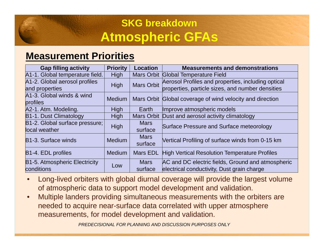## **SKG breakdownAtmospheric GFAs**

### **Measurement Priorities**

| <b>Gap filling activity</b>          | <b>Priority</b> | <b>Location</b>   | <b>Measurements and demonstrations</b>                    |  |  |
|--------------------------------------|-----------------|-------------------|-----------------------------------------------------------|--|--|
| A1-1. Global temperature field.      | High            |                   | Mars Orbit Global Temperature Field                       |  |  |
| A1-2. Global aerosol profiles        | High            | <b>Mars Orbit</b> | Aerosol Profiles and properties, including optical        |  |  |
| and properties                       |                 |                   | properties, particle sizes, and number densities          |  |  |
| A1-3. Global winds & wind            | <b>Medium</b>   |                   |                                                           |  |  |
| profiles                             |                 |                   | Mars Orbit Global coverage of wind velocity and direction |  |  |
| A2-1. Atm. Modeling.                 | <b>High</b>     | Earth             | Improve atmospheric models                                |  |  |
| B1-1. Dust Climatology               | <b>High</b>     |                   | Mars Orbit Dust and aerosol activity climatology          |  |  |
| $ B1-2 $ . Global surface pressure;  | <b>High</b>     | <b>Mars</b>       | Surface Pressure and Surface meteorology                  |  |  |
| local weather                        |                 | surface           |                                                           |  |  |
| <b>B1-3. Surface winds</b>           | <b>Medium</b>   | <b>Mars</b>       | Vertical Profiling of surface winds from 0-15 km          |  |  |
|                                      |                 | surface           |                                                           |  |  |
| B1-4. EDL profiles                   | <b>Medium</b>   | Mars EDL          | <b>High Vertical Resolution Temperature Profiles</b>      |  |  |
| <b>B1-5. Atmospheric Electricity</b> |                 | <b>Mars</b>       | AC and DC electric fields, Ground and atmospheric         |  |  |
|                                      | Low             |                   |                                                           |  |  |
| conditions                           |                 | surface           | electrical conductivity, Dust grain charge                |  |  |

- • Long-lived orbiters with global diurnal coverage will provide the largest volume of atmospheric data to support model development and validation.
- Multiple landers providing simultaneous measurements with the orbiters are •needed to acquire near-surface data correlated with upper atmosphere measurements, for model development and validation.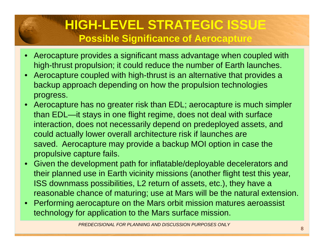## **HIGH-LEVEL STRATEGIC ISSUEPossible Significance of Aerocapture**

- • Aerocapture provides a significant mass advantage when coupled with high-thrust propulsion; it could reduce the number of Earth launches.
- • Aerocapture coupled with high-thrust is an alternative that provides a backup approach depending on how the propulsion technologies progress.
- Aerocapture has no greater risk than EDL; aerocapture is much simpler than EDL—it stays in one flight regime, does not deal with surface interaction, does not necessarily depend on predeployed assets, and could actually lower overall architecture risk if launches are saved. Aerocapture may provide a backup MOI option in case the propulsive capture fails.
- Given the development path for inflatable/deployable decelerators and their planned use in Earth vicinity missions (another flight test this year, ISS downmass possibilities, L2 return of assets, etc.), they have a reasonable chance of maturing; use at Mars will be the natural extension.
- • Performing aerocapture on the Mars orbit mission matures aeroassist technology for application to the Mars surface mission.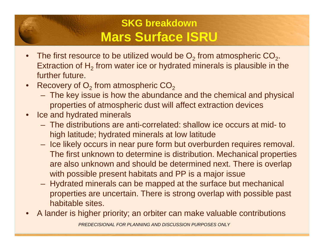## **SKG breakdownMars Surface ISRU**

- •The first resource to be utilized would be  $O_2$  from atmospheric  $CO_2$ . Extraction of  $H_2$  from water ice or hydrated minerals is plausible in the  $\epsilon$ further future.
- •Recovery of  $O_2$  from atmospheric  $CO_2$ 
	- $-$  The key result is how the abundan The key issue is how the abundance and the chemical and physical properties of atmospheric dust will affect extraction devices
- •**Ice and hydrated minerals** 
	- $-$  The dictributions are : The distributions are anti-correlated: shallow ice occurs at mid- to high latitude; hydrated minerals at low latitude
	- $-$  Leo likaly occurs in noar nuro form but overby Ice likely occurs in near pure form but overburden requires removal. The first unknown to determine is distribution. Mechanical properties are also unknown and should be determined next. There is overlap with possible present habitats and PP is a major issue
	- $-$  Hydrated minerals can he manned at the surface hut Hydrated minerals can be mapped at the surface but mechanical properties are uncertain. There is strong overlap with possible past habitable sites.
- •A lander is higher priority; an orbiter can make valuable contributions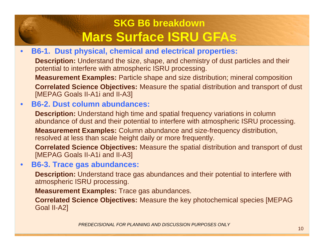## **SKG B6 breakdownMars Surface ISRU GFAs**

#### •**B6-1. Dust physical, chemical and electrical properties:**

**Description:** Understand the size, shape, and chemistry of dust particles and their potential to interfere with atmospheric ISRU processing.

**Measurement Examples:** Particle shape and size distribution; mineral composition **Correlated Science Objectives:** Measure the spatial distribution and transport of dust [MEPAG Goals II-A1i and II-A3]

#### •**B6-2. Dust column abundances:**

**Description:** Understand high time and spatial frequency variations in column abundance of dust and their potential to interfere with atmospheric ISRU processing.**Measurement Examples:** Column abundance and size-frequency distribution, resolved at less than scale height daily or more frequently.

**Correlated Science Objectives:** Measure the spatial distribution and transport of dust [MEPAG Goals II-A1i and II-A3]

#### •**B6-3. Trace gas abundances:**

**Description:** Understand trace gas abundances and their potential to interfere with atmospheric ISRU processing.

**Measurement Examples:** Trace gas abundances.

**Correlated Science Objectives:** Measure the key photochemical species [MEPAG Goal II-A2]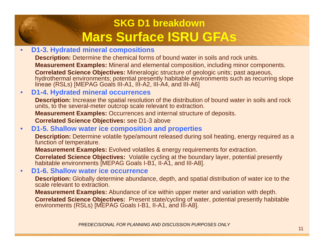## **SKG D1 breakdownMars Surface ISRU GFAs**

#### •**D1-3. Hydrated mineral compositions**

 **Description:** Determine the chemical forms of bound water in soils and rock units.**Measurement Examples:** Mineral and elemental composition, including minor components. **Correlated Science Objectives:** Mineralogic structure of geologic units; past aqueous, hydrothermal environments; potential presently habitable environments such as recurring slope lineae (RSLs) [MEPAG Goals III-A1, III-A2, III-A4, and III-A6]

#### •**D1-4. Hydrated mineral occurrences**

 **Description:** Increase the spatial resolution of the distribution of bound water in soils and rock units, to the several-meter outcrop scale relevant to extraction.

**Measurement Examples:** Occurrences and internal structure of deposits.

**Correlated Science Objectives:** see D1-3 above

#### **D1-5. Shallow water ice composition and properties**•

 **Description:** Determine volatile type/amount released during soil heating, energy required as a function of temperature.

**Measurement Examples:** Evolved volatiles & energy requirements for extraction.

**Correlated Science Objectives:** Volatile cycling at the boundary layer, potential presently habitable environments [MEPAG Goals I-B1, II-A1, and III-A8].

#### •**D1-6. Shallow water ice occurrence**

 **Description:** Globally determine abundance, depth, and spatial distribution of water ice to the scale relevant to extraction.

**Measurement Examples:** Abundance of ice within upper meter and variation with depth.**Correlated Science Objectives:** Present state/cycling of water, potential presently habitable environments (RSLs) [MEPAG Goals I-B1, II-A1, and III-A8].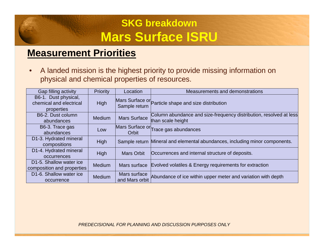## **SKG breakdownMars Surface ISRU**

### **Measurement Priorities**

• A landed mission is the highest priority to provide missing information on physical and chemical properties of resources.

| Gap filling activity                                               | <b>Priority</b> | Location                       | Measurements and demonstrations                                                         |
|--------------------------------------------------------------------|-----------------|--------------------------------|-----------------------------------------------------------------------------------------|
| B6-1. Dust physical,<br>chemical and electrical<br>properties      | High            | Sample return                  | Mars Surface or Particle shape and size distribution                                    |
| B6-2. Dust column<br>abundances                                    | <b>Medium</b>   | <b>Mars Surface</b>            | Column abundance and size-frequency distribution, resolved at less<br>than scale height |
| B6-3. Trace gas<br>abundances                                      | Low             | Orbit                          | Mars Surface or Trace gas abundances                                                    |
| D1-3. Hydrated mineral<br>compositions                             | <b>High</b>     |                                | Sample return Mineral and elemental abundances, including minor components.             |
| D1-4. Hydrated mineral<br>occurrences                              | <b>High</b>     | <b>Mars Orbit</b>              | Occurrences and internal structure of deposits.                                         |
| D <sub>1</sub> -5. Shallow water ice<br>composition and properties | <b>Medium</b>   |                                | Mars surface Evolved volatiles & Energy requirements for extraction                     |
| D <sub>1</sub> -6. Shallow water ice<br>occurrence                 | Medium          | Mars surface<br>and Mars orbit | Abundance of ice within upper meter and variation with depth                            |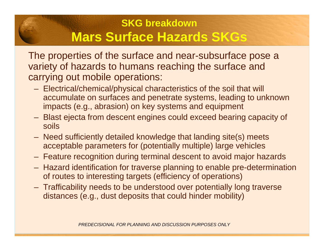## **SKG breakdownMars Surface Hazards SKGs**

The properties of the surface and near-subsurface pose a variety of hazards to humans reaching the surface and carrying out mobile operations:

- Electrical/chemical/physical characteristics of the soil that will accumulate on surfaces and penetrate systems, leading to unknown impacts (e.g., abrasion) on key systems and equipment
- $\mathcal{L}_{\mathcal{A}}$  Blast ejecta from descent engines could exceed bearing capacity of soils
- $\mathcal{L}_{\mathcal{A}}$  Need sufficiently detailed knowledge that landing site(s) meets acceptable parameters for (potentially multiple) large vehicles
- $\mathcal{L}_{\mathcal{A}}$ Feature recognition during terminal descent to avoid major hazards
- Hazard identification for traverse planning to enable pre-determination of routes to interesting targets (efficiency of operations)
- Trafficability needs to be understood over potentially long traverse distances (e.g., dust deposits that could hinder mobility)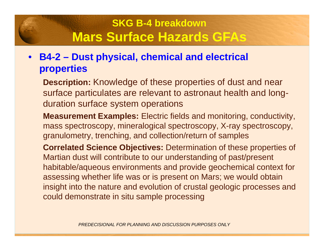## **SKG B-4 breakdownMars Surface Hazards GFAs**

### $\bullet$  **B4-2 – Dust physical, chemical and electrical properties**

**Description:** Knowledge of these properties of dust and near surface particulates are relevant to astronaut health and longduration surface system operations

**Measurement Examples:** Electric fields and monitoring, conductivity, mass spectroscopy, mineralogical spectroscopy, X-ray spectroscopy, granulometry, trenching, and collection/return of samples

**Correlated Science Objectives:** Determination of these properties of Martian dust will contribute to our understanding of past/present habitable/aqueous environments and provide geochemical context for assessing whether life was or is present on Mars; we would obtain insight into the nature and evolution of crustal geologic processes and could demonstrate in situ sample processing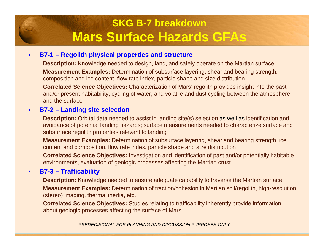## **SKG B-7 breakdownMars Surface Hazards GFAs**

#### •**B7-1 – Regolith physical properties and structure**

 **Description:** Knowledge needed to design, land, and safely operate on the Martian surface **Measurement Examples:** Determination of subsurface layering, shear and bearing strength, composition and ice content, flow rate index, particle shape and size distribution

 **Correlated Science Objectives:** Characterization of Mars' regolith provides insight into the past and/or present habitability, cycling of water, and volatile and dust cycling between the atmosphere and the surface

#### •**B7-2 – Landing site selection**

 **Description:** Orbital data needed to assist in landing site(s) selection as well as identification and avoidance of potential landing hazards; surface measurements needed to characterize surface and subsurface regolith properties relevant to landing

 **Measurement Examples:** Determination of subsurface layering, shear and bearing strength, ice content and composition, flow rate index, particle shape and size distribution

 **Correlated Science Objectives:** Investigation and identification of past and/or potentially habitable environments, evaluation of geologic processes affecting the Martian crust

#### •**B7-3 – Trafficability**

 **Description:** Knowledge needed to ensure adequate capability to traverse the Martian surface **Measurement Examples:** Determination of traction/cohesion in Martian soil/regolith, high-resolution (stereo) imaging, thermal inertia, etc.

**Correlated Science Objectives:** Studies relating to trafficability inherently provide information about geologic processes affecting the surface of Mars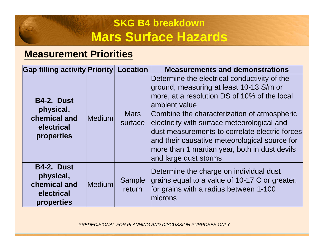## **SKG B4 breakdownMars Surface Hazards**

### **Measurement Priorities**

| <b>Gap filling activity Priority</b>                                       |               | <b>Location</b>        | <b>Measurements and demonstrations</b>                                                                                                                                                                                                                                                                                                                                                                                              |
|----------------------------------------------------------------------------|---------------|------------------------|-------------------------------------------------------------------------------------------------------------------------------------------------------------------------------------------------------------------------------------------------------------------------------------------------------------------------------------------------------------------------------------------------------------------------------------|
| <b>B4-2. Dust</b><br>physical,<br>chemical and<br>electrical<br>properties | <b>Medium</b> | <b>Mars</b><br>surface | Determine the electrical conductivity of the<br>ground, measuring at least 10-13 S/m or<br>more, at a resolution DS of 10% of the local<br>ambient value<br>Combine the characterization of atmospheric<br>electricity with surface meteorological and<br>dust measurements to correlate electric forces<br>and their causative meteorological source for<br>more than 1 martian year, both in dust devils<br>and large dust storms |
| <b>B4-2. Dust</b><br>physical,<br>chemical and<br>electrical<br>properties | <b>Medium</b> | Sample<br>return       | Determine the charge on individual dust<br>grains equal to a value of 10-17 C or greater,<br>for grains with a radius between 1-100<br>microns                                                                                                                                                                                                                                                                                      |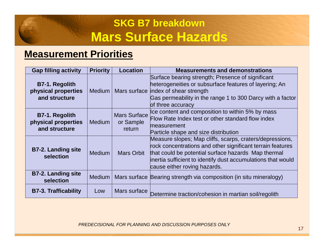## **SKG B7 breakdownMars Surface Hazards**

### **Measurement Priorities**

| <b>Gap filling activity</b>                                   | <b>Priority</b> | <b>Location</b>                            | <b>Measurements and demonstrations</b>                                                                                                                                                                                                                                        |
|---------------------------------------------------------------|-----------------|--------------------------------------------|-------------------------------------------------------------------------------------------------------------------------------------------------------------------------------------------------------------------------------------------------------------------------------|
| <b>B7-1. Regolith</b><br>physical properties<br>and structure |                 |                                            | Surface bearing strength; Presence of significant<br>heterogeneities or subsurface features of layering; An<br>Medium   Mars surface   index of shear strength<br>Gas permeability in the range 1 to 300 Darcy with a factor<br>of three accuracy                             |
| <b>B7-1. Regolith</b><br>physical properties<br>and structure | <b>Medium</b>   | <b>Mars Surface</b><br>or Sample<br>return | Ice content and composition to within 5% by mass<br>Flow Rate Index test or other standard flow index<br>measurement<br>Particle shape and size distribution                                                                                                                  |
| <b>B7-2. Landing site</b><br>selection                        | <b>Medium</b>   | <b>Mars Orbit</b>                          | Measure slopes; Map cliffs, scarps, craters/depressions,<br>rock concentrations and other significant terrain features<br>that could be potential surface hazards Map thermal<br>inertia sufficient to identify dust accumulations that would<br>cause either roving hazards. |
| <b>B7-2. Landing site</b><br>selection                        | Medium          |                                            | Mars surface Bearing strength via composition (in situ mineralogy)                                                                                                                                                                                                            |
| <b>B7-3. Trafficability</b>                                   | Low             | Mars surface                               | Determine traction/cohesion in martian soil/regolith                                                                                                                                                                                                                          |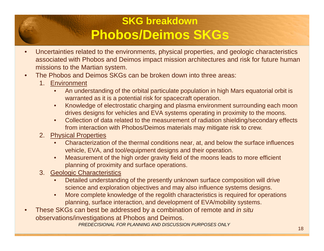## **SKG breakdownPhobos/Deimos SKGs**

- • Uncertainties related to the environments, physical properties, and geologic characteristics associated with Phobos and Deimos impact mission architectures and risk for future human missions to the Martian system.
- • The Phobos and Deimos SKGs can be broken down into three areas:
	- 1. Environment
		- • An understanding of the orbital particulate population in high Mars equatorial orbit is warranted as it is a potential risk for spacecraft operation.
		- • Knowledge of electrostatic charging and plasma environment surrounding each moon drives designs for vehicles and EVA systems operating in proximity to the moons.
		- • Collection of data related to the measurement of radiation shielding/secondary effects from interaction with Phobos/Deimos materials may mitigate risk to crew.
	- 2. Physical Properties
		- Characterization of the thermal conditions near, at, and below the surface influences •vehicle, EVA, and tool/equipment designs and their operation.
		- • Measurement of the high order gravity field of the moons leads to more efficient planning of proximity and surface operations.
	- 3. Geologic Characteristics
		- Detailed understanding of the presently unknown surface composition will drive •science and exploration objectives and may also influence systems designs.
		- More complete knowledge of the regolith characteristics is required for operations •planning, surface interaction, and development of EVA/mobility systems.
- •These SKGs can best be addressed by a combination of remote and in situ observations/investigations at Phobos and Deimos.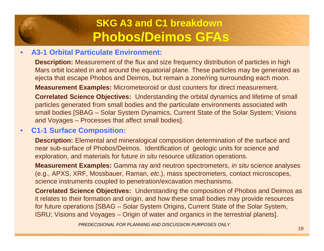## **SKG A3 and C1 breakdownPhobos/Deimos GFAs**

#### •**A3-1 Orbital Particulate Environment:**

**Description:** Measurement of the flux and size frequency distribution of particles in high Mars orbit located in and around the equatorial plane. These particles may be generated as ejecta that escape Phobos and Deimos, but remain a zone/ring surrounding each moon.

**Measurement Examples:** Micrometeoroid or dust counters for direct measurement.

**Correlated Science Objectives:** Understanding the orbital dynamics and lifetime of small particles generated from small bodies and the particulate environments associated with small bodies [SBAG – Solar System Dynamics, Current State of the Solar System; Visions and Voyages – Processes that affect small bodies].

#### •**C1-1 Surface Composition:**

**Description:** Elemental and mineralogical composition determination of the surface and near sub-surface of Phobos/Deimos. Identification of geologic units for science and exploration, and materials for future *in situ* resource utilization operations.

**Measurement Examples:** Gamma ray and neutron spectrometers, in situ science analyses (e.g., APXS, XRF, Mossbauer, Raman, etc.), mass spectrometers, contact microscopes, science instruments coupled to penetration/excavation mechanisms.

**Correlated Science Objectives:** Understanding the composition of Phobos and Deimos asit relates to their formation and origin, and how these small bodies may provide resources for future operations [SBAG – Solar System Origins, Current State of the Solar System, ISRU; Visions and Voyages – Origin of water and organics in the terrestrial planets].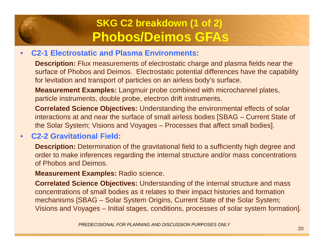## **SKG C2 breakdown (1 of 2)Phobos/Deimos GFAs**

#### •**C2-1 Electrostatic and Plasma Environments:**

**Description:** Flux measurements of electrostatic charge and plasma fields near the surface of Phobos and Deimos. Electrostatic potential differences have the capability for levitation and transport of particles on an airless body's surface.

**Measurement Examples:** Langmuir probe combined with microchannel plates, particle instruments, double probe, electron drift instruments.

**Correlated Science Objectives:** Understanding the environmental effects of solar interactions at and near the surface of small airless bodies [SBAG – Current State of the Solar System; Visions and Voyages – Processes that affect small bodies].

#### •**C2-2 Gravitational Field:**

**Description:** Determination of the gravitational field to a sufficiently high degree and order to make inferences regarding the internal structure and/or mass concentrations of Phobos and Deimos.

**Measurement Examples:** Radio science.

**Correlated Science Objectives:** Understanding of the internal structure and mass concentrations of small bodies as it relates to their impact histories and formation mechanisms [SBAG – Solar System Origins, Current State of the Solar System; Visions and Voyages – Initial stages, conditions, processes of solar system formation].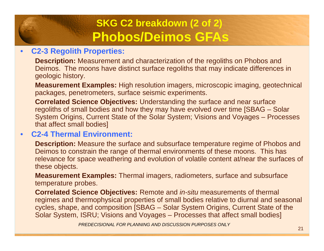## **SKG C2 breakdown (2 of 2)Phobos/Deimos GFAs**

#### •**C2-3 Regolith Properties:**

**Description:** Measurement and characterization of the regoliths on Phobos and Deimos. The moons have distinct surface regoliths that may indicate differences in geologic history.

**Measurement Examples:** High resolution imagers, microscopic imaging, geotechnical packages, penetrometers, surface seismic experiments.

**Correlated Science Objectives:** Understanding the surface and near surface regoliths of small bodies and how they may have evolved over time [SBAG – Solar System Origins, Current State of the Solar System; Visions and Voyages – Processes that affect small bodies]

#### •**C2-4 Thermal Environment:**

**Description:** Measure the surface and subsurface temperature regime of Phobos and Deimos to constrain the range of thermal environments of these moons. This has relevance for space weathering and evolution of volatile content at/near the surfaces of these objects.

**Measurement Examples:** Thermal imagers, radiometers, surface and subsurface temperature probes.

**Correlated Science Objectives:** Remote and in-situ measurements of thermal regimes and thermophysical properties of small bodies relative to diurnal and seasonal cycles, shape, and composition [SBAG – Solar System Origins, Current State of the Solar System, ISRU; Visions and Voyages – Processes that affect small bodies]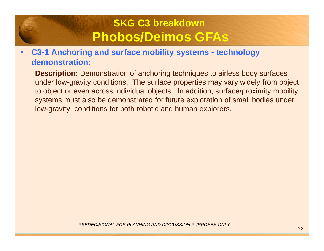## **SKG C3 breakdownPhobos/Deimos GFAs**

#### **C3-1 Anchoring and surface mobility systems - technology**  •**demonstration:**

**Description:** Demonstration of anchoring techniques to airless body surfaces under low-gravity conditions. The surface properties may vary widely from object to object or even across individual objects. In addition, surface/proximity mobility systems must also be demonstrated for future exploration of small bodies under low-gravity conditions for both robotic and human explorers.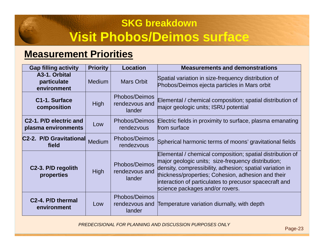## **SKG breakdownVisit Phobos/Deimos surface**

### **Measurement Priorities**

| <b>Gap filling activity</b>                   | <b>Priority</b> | <b>Location</b>                           | <b>Measurements and demonstrations</b>                                                                                                                                                                                                                                                                                         |  |
|-----------------------------------------------|-----------------|-------------------------------------------|--------------------------------------------------------------------------------------------------------------------------------------------------------------------------------------------------------------------------------------------------------------------------------------------------------------------------------|--|
| A3-1. Orbital<br>particulate<br>environment   | <b>Medium</b>   | <b>Mars Orbit</b>                         | Spatial variation in size-frequency distribution of<br>Phobos/Deimos ejecta particles in Mars orbit                                                                                                                                                                                                                            |  |
| C1-1. Surface<br>composition                  | <b>High</b>     | Phobos/Deimos<br>rendezvous and<br>lander | Elemental / chemical composition; spatial distribution of<br>major geologic units; ISRU potential                                                                                                                                                                                                                              |  |
| C2-1. P/D electric and<br>plasma environments | Low             | Phobos/Deimos<br>rendezvous               | Electric fields in proximity to surface, plasma emanating<br>from surface                                                                                                                                                                                                                                                      |  |
| C2-2. P/D Gravitational<br>field              | <b>Medium</b>   | Phobos/Deimos<br>rendezvous               | Spherical harmonic terms of moons' gravitational fields                                                                                                                                                                                                                                                                        |  |
| C2-3. P/D regolith<br>properties              | <b>High</b>     | Phobos/Deimos<br>rendezvous and<br>lander | Elemental / chemical composition; spatial distribution of<br>major geologic units; size-frequency distribution;<br>density, compressibility, adhesion; spatial variation in<br>thickness/properties; Cohesion, adhesion and their<br>interaction of particulates to precusor spacecraft and<br>science packages and/or rovers. |  |
| C <sub>2</sub> -4. P/D thermal<br>environment | Low             | Phobos/Deimos<br>rendezvous and<br>lander | Temperature variation diurnally, with depth                                                                                                                                                                                                                                                                                    |  |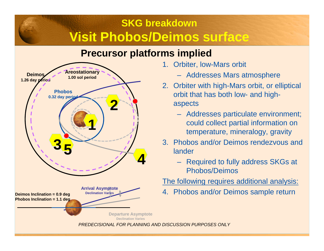## **SKG breakdownVisit Phobos/Deimos surface**

### **Precursor platforms implied**



- 1. Orbiter, low-Mars orbit
	- Addresses Mars atmosphere
- 2. Orbiter with high-Mars orbit, or elliptical orbit that has both low- and highaspects
	- Addresses particulate environment; could collect partial information on temperature, mineralogy, gravity
- 3. Phobos and/or Deimos rendezvous and lander
	- – Required to fully address SKGs at Phobos/Deimos

The following requires additional analysis:

4. Phobos and/or Deimos sample return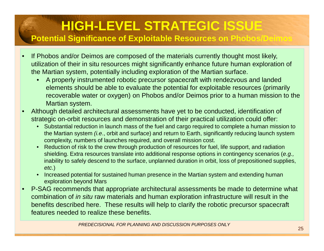# **HIGH-LEVEL STRATEGIC ISSUE**

### **Potential Significance of Exploitable Resources on Phobos/Deimos**

- • If Phobos and/or Deimos are composed of the materials currently thought most likely, utilization of their in situ resources might significantly enhance future human exploration of the Martian system, potentially including exploration of the Martian surface.
	- $\bullet$  A properly instrumented robotic precursor spacecraft with rendezvous and landed elements should be able to evaluate the potential for exploitable resources (primarily recoverable water or oxygen) on Phobos and/or Deimos prior to a human mission to the Martian system.
- • Although detailed architectural assessments have yet to be conducted, identification of strategic on-orbit resources and demonstration of their practical utilization could offer:
	- Substantial reduction in launch mass of the fuel and cargo required to complete a human mission to the Martian system *(i.e., orbit and surface) and return to Earth, significantly reducing launch system* complexity, numbers of launches required, and overall mission cost.
	- Reduction of risk to the crew through production of resources for fuel, life support, and radiation shielding. Extra resources translate into additional response options in contingency scenarios (e.g., inability to safely descend to the surface, unplanned duration in orbit, loss of prepositioned supplies, etc.)
	- Increased potential for sustained human presence in the Martian system and extending human exploration beyond Mars
- P-SAG recommends that appropriate architectural assessments be made to determine what •combination of *in situ* raw materials and human exploration infrastructure will result in the benefits described here. These results will help to clarify the robotic precursor spacecraft features needed to realize these benefits.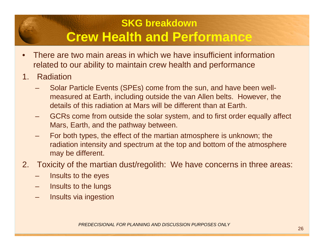## **SKG breakdownCrew Health and Performance**

- • There are two main areas in which we have insufficient information related to our ability to maintain crew health and performance
- 1. Radiation
	- Solar Particle Events (SPEs) come from the sun, and have been wellmeasured at Earth, including outside the van Allen belts. However, the details of this radiation at Mars will be different than at Earth.
	- GCRs come from outside the solar system, and to first order equally affect Mars, Earth, and the pathway between.
	- For both types, the effect of the martian atmosphere is unknown; the radiation intensity and spectrum at the top and bottom of the atmosphere may be different.
- 2. Toxicity of the martian dust/regolith: We have concerns in three areas:
	- Insults to the eyes
	- Insults to the lungs
	- Insults via ingestion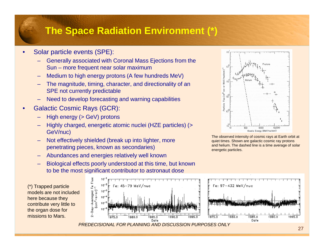### **The Space Radiation Environment (\*)**

- • Solar particle events (SPE):
	- Generally associated with Coronal Mass Ejections from the Sun – more frequent near solar maximum
	- Medium to high energy protons (A few hundreds MeV)
	- The magnitude, timing, character, and directionality of an SPE not currently predictable
	- Need to develop forecasting and warning capabilities
- • Galactic Cosmic Rays (GCR):
	- High energy (> GeV) protons
	- Highly charged, energetic atomic nuclei (HZE particles) (> GeV/nuc)
	- Not effectively shielded (break up into lighter, more penetrating pieces, known as secondaries)
	- Abundances and energies relatively well known
	- Biological effects poorly understood at this time, but known to be the most significant contributor to astronaut dose

(\*) Trapped particle models are not included here because they contribute very little to the organ dose for missions to Mars.





The observed intensity of cosmic rays at Earth orbit at quiet times. Shown are galactic cosmic ray protons and helium. The dashed line is a time average of solar energetic particles.

1995.0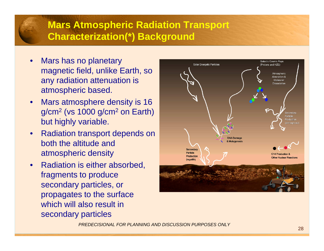### **Mars Atmospheric Radiation Transport Characterization(\*) Background**

- • Mars has no planetary magnetic field, unlike Earth, so any radiation attenuation is atmospheric based.
- • Mars atmosphere density is 16 g/cm $^2$  (vs 1000 g/cm $^2$  on Earth) but highly variable.
- • Radiation transport depends on both the altitude and atmospheric density
- • Radiation is either absorbed, fragments to produce secondary particles, or propagates to the surface which will also result in secondary particles

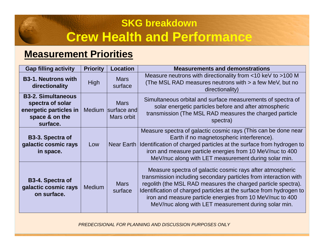## **SKG breakdownCrew Health and Performance**

### **Measurement Priorities**

| <b>Gap filling activity</b>                                                                           | <b>Priority</b> | <b>Location</b>                          | <b>Measurements and demonstrations</b>                                                                                                                                                                                                                                                                                                                                                     |
|-------------------------------------------------------------------------------------------------------|-----------------|------------------------------------------|--------------------------------------------------------------------------------------------------------------------------------------------------------------------------------------------------------------------------------------------------------------------------------------------------------------------------------------------------------------------------------------------|
| <b>B3-1. Neutrons with</b><br>directionality                                                          | High            | <b>Mars</b><br>surface                   | Measure neutrons with directionality from <10 keV to >100 M<br>(The MSL RAD measures neutrons with > a few MeV, but no<br>directionality)                                                                                                                                                                                                                                                  |
| <b>B3-2. Simultaneous</b><br>spectra of solar<br>energetic particles in<br>space & on the<br>surface. | <b>Medium</b>   | <b>Mars</b><br>surface and<br>Mars orbit | Simultaneous orbital and surface measurements of spectra of<br>solar energetic particles before and after atmospheric<br>transmission (The MSL RAD measures the charged particle<br>spectra)                                                                                                                                                                                               |
| B3-3. Spectra of<br>galactic cosmic rays<br>in space.                                                 | Low             | Near Earth                               | Measure spectra of galactic cosmic rays (This can be done near<br>Earth if no magnetospheric interference).<br>Identification of charged particles at the surface from hydrogen to<br>iron and measure particle energies from 10 MeV/nuc to 400<br>MeV/nuc along with LET measurement during solar min.                                                                                    |
| B3-4. Spectra of<br>galactic cosmic rays<br>on surface.                                               | <b>Medium</b>   | <b>Mars</b><br>surface                   | Measure spectra of galactic cosmic rays after atmospheric<br>transmission including secondary particles from interaction with<br>regolith (the MSL RAD measures the charged particle spectra).<br>Identification of charged particles at the surface from hydrogen to<br>iron and measure particle energies from 10 MeV/nuc to 400<br>MeV/nuc along with LET measurement during solar min. |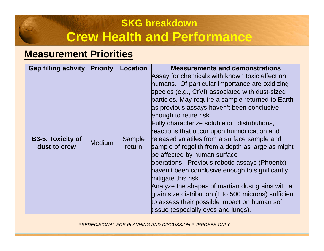## **SKG breakdownCrew Health and Performance**

### **Measurement Priorities**

| <b>Gap filling activity</b>              | <b>Priority</b> | <b>Location</b>  | <b>Measurements and demonstrations</b>                                                                                                                                                                                                                                                                                                                                                                                                                                                                                                                                                                                                                                                                                                                                                                                                                 |
|------------------------------------------|-----------------|------------------|--------------------------------------------------------------------------------------------------------------------------------------------------------------------------------------------------------------------------------------------------------------------------------------------------------------------------------------------------------------------------------------------------------------------------------------------------------------------------------------------------------------------------------------------------------------------------------------------------------------------------------------------------------------------------------------------------------------------------------------------------------------------------------------------------------------------------------------------------------|
| <b>B3-5. Toxicity of</b><br>dust to crew | <b>Medium</b>   | Sample<br>return | Assay for chemicals with known toxic effect on<br>humans. Of particular importance are oxidizing<br>species (e.g., CrVI) associated with dust-sized<br>particles. May require a sample returned to Earth<br>as previous assays haven't been conclusive<br>enough to retire risk.<br>Fully characterize soluble ion distributions,<br>reactions that occur upon humidification and<br>released volatiles from a surface sample and<br>sample of regolith from a depth as large as might<br>be affected by human surface<br>operations. Previous robotic assays (Phoenix)<br>haven't been conclusive enough to significantly<br>mitigate this risk.<br>Analyze the shapes of martian dust grains with a<br>grain size distribution (1 to 500 microns) sufficient<br>to assess their possible impact on human soft<br>tissue (especially eyes and lungs). |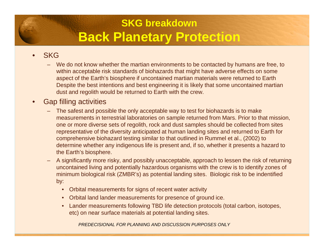## **SKG breakdownBack Planetary Protection**

#### •**SKG**

- We do not know whether the martian environments to be contacted by humans are free, to within acceptable risk standards of biohazards that might have adverse effects on some aspect of the Earth's biosphere if uncontained martian materials were returned to Earth Despite the best intentions and best engineering it is likely that some uncontained martiandust and regolith would be returned to Earth with the crew.
- • Gap filling activities
	- The safest and possible the only acceptable way to test for biohazards is to make measurements in terrestrial laboratories on sample returned from Mars. Prior to that mission, one or more diverse sets of regolith, rock and dust samples should be collected from sites representative of the diversity anticipated at human landing sites and returned to Earth for comprehensive biohazard testing similar to that outlined in Rummel et al., (2002) to determine whether any indigenous life is present and, if so, whether it presents a hazard to the Earth's biosphere.
	- A significantly more risky, and possibly unacceptable, approach to lessen the risk of returning uncontained living and potentially hazardous organisms with the crew is to identify zones of minimum biological risk (ZMBR's) as potential landing sites. Biologic risk to be indentified by:
		- •Orbital measurements for signs of recent water activity
		- Orbital land lander measurements for presence of ground ice.
		- Lander measurements following TBD life detection protocols (total carbon, isotopes, etc) on near surface materials at potential landing sites.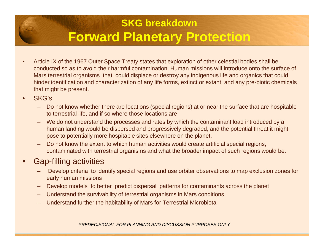## **SKG breakdownForward Planetary Protection**

- • Article IX of the 1967 Outer Space Treaty states that exploration of other celestial bodies shall be conducted so as to avoid their harmful contamination. Human missions will introduce onto the surface of Mars terrestrial organisms that could displace or destroy any indigenous life and organics that could hinder identification and characterization of any life forms, extinct or extant, and any pre-biotic chemicals that might be present.
- • SKG's
	- Do not know whether there are locations (special regions) at or near the surface that are hospitable to terrestrial life, and if so where those locations are
	- We do not understand the processes and rates by which the contaminant load introduced by a human landing would be dispersed and progressively degraded, and the potential threat it might pose to potentially more hospitable sites elsewhere on the planet.
	- Do not know the extent to which human activities would create artificial special regions, contaminated with terrestrial organisms and what the broader impact of such regions would be.

#### •Gap-filling activities

- Develop criteria to identify special regions and use orbiter observations to map exclusion zones forearly human missions
- Develop models to better predict dispersal patterns for contaminants across the planet
- Understand the survivability of terrestrial organisms in Mars conditions.
- Understand further the habitability of Mars for Terrestrial Microbiota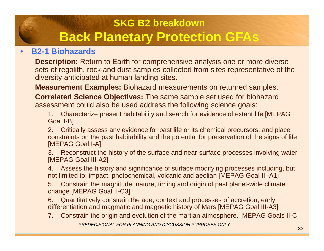## **SKG B2 breakdownBack Planetary Protection GFAs**

#### •**B2-1 Biohazards**

 **Description:** Return to Earth for comprehensive analysis one or more diverse sets of regolith, rock and dust samples collected from sites representative of the diversity anticipated at human landing sites.

**Measurement Examples:** Biohazard measurements on returned samples.

**Correlated Science Objectives:** The same sample set used for biohazard assessment could also be used address the following science goals:

1. Characterize present habitability and search for evidence of extant life [MEPAG Goal I-B]

2. Critically assess any evidence for past life or its chemical precursors, and place constraints on the past habitability and the potential for preservation of the signs of life[MEPAG Goal I-A]

3. Reconstruct the history of the surface and near-surface processes involving water[MEPAG Goal III-A2]

4. Assess the history and significance of surface modifying processes including, but not limited to: impact, photochemical, volcanic and aeolian [MEPAG Goal III-A1]

5. Constrain the magnitude, nature, timing and origin of past planet-wide climate change [MEPAG Goal II-C3]

6. Quantitatively constrain the age, context and processes of accretion, early differentiation and magmatic and magnetic history of Mars [MEPAG Goal III-A3]

PREDECISIONAL FOR PLANNING AND DISCUSSION PURPOSES ONLY7. Constrain the origin and evolution of the martian atmosphere. [MEPAG Goals II-C]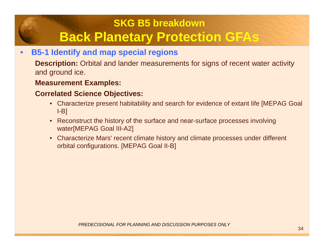## **SKG B5 breakdownBack Planetary Protection GFAs**

#### •**B5-1 Identify and map special regions**

 **Description:** Orbital and lander measurements for signs of recent water activity and ground ice.

### **Measurement Examples:**

### **Correlated Science Objectives:**

- Characterize present habitability and search for evidence of extant life [MEPAG Goal I-B]
- Reconstruct the history of the surface and near-surface processes involving water[MEPAG Goal III-A2]
- Characterize Mars' recent climate history and climate processes under different orbital configurations. [MEPAG Goal II-B]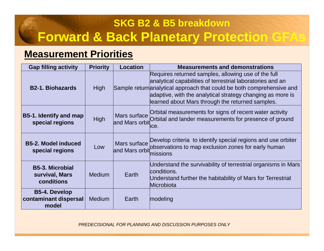## **SKG B2 & B5 breakdownForward & Back Planetary Protection GFAs**

### **Measurement Priorities**

| <b>Gap filling activity</b>                            | <b>Priority</b> | <b>Location</b>                | <b>Measurements and demonstrations</b>                                                                                                                                                                                                                                                                        |
|--------------------------------------------------------|-----------------|--------------------------------|---------------------------------------------------------------------------------------------------------------------------------------------------------------------------------------------------------------------------------------------------------------------------------------------------------------|
| <b>B2-1. Biohazards</b>                                | <b>High</b>     |                                | Requires returned samples, allowing use of the full<br>analytical capabilities of terrestrial laboratories and an<br>Sample return analytical approach that could be both comprehensive and<br>adaptive, with the analytical strategy changing as more is<br>learned about Mars through the returned samples. |
| <b>B5-1. Identify and map</b><br>special regions       | High            | Mars surface<br>and Mars orbit | Orbital measurements for signs of recent water activity<br>Orbital and lander measurements for presence of ground<br>ce.                                                                                                                                                                                      |
| <b>B5-2. Model induced</b><br>special regions          | Low             | Mars surface<br>and Mars orbit | Develop criteria to identify special regions and use orbiter<br>observations to map exclusion zones for early human<br>missions                                                                                                                                                                               |
| <b>B5-3. Microbial</b><br>survival, Mars<br>conditions | <b>Medium</b>   | Earth                          | Understand the survivability of terrestrial organisms in Mars<br>conditions.<br>Understand further the habitability of Mars for Terrestrial<br>Microbiota                                                                                                                                                     |
| <b>B5-4. Develop</b><br>contaminant dispersal<br>model | <b>Medium</b>   | Earth                          | modeling                                                                                                                                                                                                                                                                                                      |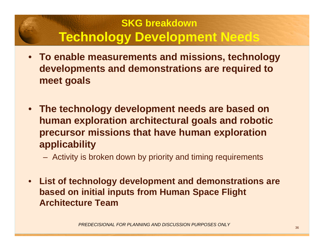## **SKG breakdownTechnology Development Needs**

- **To enable measurements and missions, technology developments and demonstrations are required to meet goals**
- **The technology development needs are based on human exploration architectural goals and robotic precursor missions that have human exploration applicability**
	- Activity is broken down by priority and timing requirements
- • **List of technology development and demonstrations are based on initial inputs from Human Space Flight Architecture Team**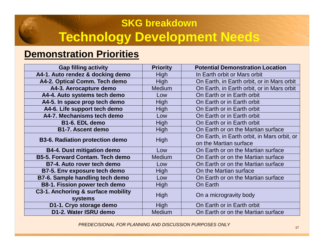## **SKG breakdownTechnology Development Needs**

### **Demonstration Priorities**

| <b>Gap filling activity</b>            | <b>Priority</b> | <b>Potential Demonstration Location</b>     |
|----------------------------------------|-----------------|---------------------------------------------|
| A4-1. Auto rendez & docking demo       | High            | In Earth orbit or Mars orbit                |
| A4-2. Optical Comm. Tech demo          | <b>High</b>     | On Earth, in Earth orbit, or in Mars orbit  |
| A4-3. Aerocapture demo                 | <b>Medium</b>   | On Earth, in Earth orbit, or in Mars orbit  |
| A4-4. Auto systems tech demo           | Low             | On Earth or in Earth orbit                  |
| A4-5. In space prop tech demo          | High            | On Earth or in Earth orbit                  |
| A4-6. Life support tech demo           | High            | On Earth or in Earth orbit                  |
| A4-7. Mechanisms tech demo             | Low             | On Earth or in Earth orbit                  |
| B1-6. EDL demo                         | High            | On Earth or in Earth orbit                  |
| <b>B1-7. Ascent demo</b>               | High            | On Earth or on the Martian surface          |
| <b>B3-6. Radiation protection demo</b> |                 | On Earth, in Earth orbit, in Mars orbit, or |
|                                        | High            | on the Martian surface                      |
| <b>B4-4. Dust mitigation demo</b>      | Low             | On Earth or on the Martian surface          |
| <b>B5-5. Forward Contam. Tech demo</b> | <b>Medium</b>   | On Earth or on the Martian surface          |
| B7-4. Auto rover tech demo             | Low             | On Earth or on the Martian surface          |
| B7-5. Env exposure tech demo           | High            | On the Martian surface                      |
| B7-6. Sample handling tech demo        | Low             | On Earth or on the Martian surface          |
| <b>B8-1. Fission power tech demo</b>   | High            | On Earth                                    |
| C3-1. Anchoring & surface mobility     | High            | On a microgravity body                      |
| systems                                |                 |                                             |
| D1-1. Cryo storage demo                | <b>High</b>     | On Earth or in Earth orbit                  |
| D1-2. Water ISRU demo                  | <b>Medium</b>   | On Earth or on the Martian surface          |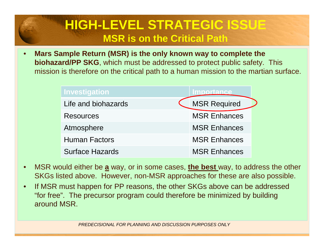## **HIGH-LEVEL STRATEGIC ISSUEMSR is on the Critical Path**

• **Mars Sample Return (MSR) is the only known way to complete the biohazard/PP SKG**, which must be addressed to protect public safety. This mission is therefore on the critical path to a human mission to the martian surface.

| <b>Investigation</b>   | <b>Importance</b>   |
|------------------------|---------------------|
| Life and biohazards    | <b>MSR Required</b> |
| <b>Resources</b>       | <b>MSR Enhances</b> |
| Atmosphere             | <b>MSR Enhances</b> |
| <b>Human Factors</b>   | <b>MSR Enhances</b> |
| <b>Surface Hazards</b> | <b>MSR Enhances</b> |

- • MSR would either be **a** way, or in some cases, **the best** way, to address the other SKGs listed above. However, non-MSR approaches for these are also possible.
- • If MSR must happen for PP reasons, the other SKGs above can be addressed "for free". The precursor program could therefore be minimized by building around MSR.